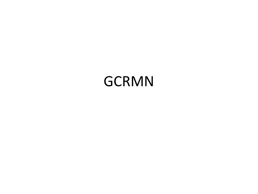#### GCRMN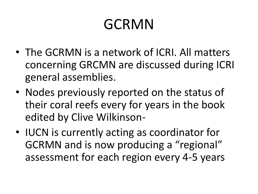# GCRMN

- The GCRMN is a network of ICRI. All matters concerning GRCMN are discussed during ICRI general assemblies.
- Nodes previously reported on the status of their coral reefs every for years in the book edited by Clive Wilkinson-
- IUCN is currently acting as coordinator for GCRMN and is now producing a "regional" assessment for each region every 4-5 years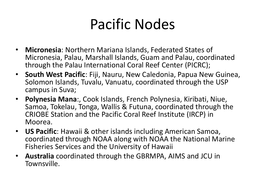## Pacific Nodes

- **Micronesia**: Northern Mariana Islands, Federated States of Micronesia, Palau, Marshall Islands, Guam and Palau, coordinated through the Palau International Coral Reef Center (PICRC);
- **South West Pacific**: Fiji, Nauru, New Caledonia, Papua New Guinea, Solomon Islands, Tuvalu, Vanuatu, coordinated through the USP campus in Suva;
- **Polynesia Mana**:, Cook Islands, French Polynesia, Kiribati, Niue, Samoa, Tokelau, Tonga, Wallis & Futuna, coordinated through the CRIOBE Station and the Pacific Coral Reef Institute (IRCP) in Moorea.
- **US Pacific**: Hawaii & other islands including American Samoa, coordinated through NOAA along with NOAA the National Marine Fisheries Services and the University of Hawaii
- **Australia** coordinated through the GBRMPA, AIMS and JCU in Townsville.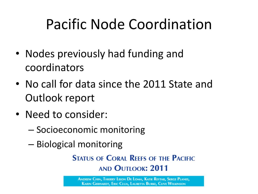# Pacific Node Coordination

- Nodes previously had funding and coordinators
- No call for data since the 2011 State and Outlook report
- Need to consider:
	- Socioeconomic monitoring
	- Biological monitoring

**STATUS OF CORAL REEFS OF THE PACIFIC AND OUTLOOK: 2011** 

ANDREW CHIN, THIERRY LISON DE LOMA, KATIE REYTAR, SERGE PLANES, **KARIN GERHARDT, ERIC CLUA, LAURETTA BURKE, CLIVE WILKINSON**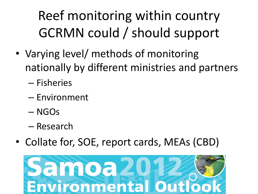Reef monitoring within country GCRMN could / should support

- Varying level/ methods of monitoring nationally by different ministries and partners
	- Fisheries
	- Environment
	- NGOs
	- Research
- Collate for, SOE, report cards, MEAs (CBD)